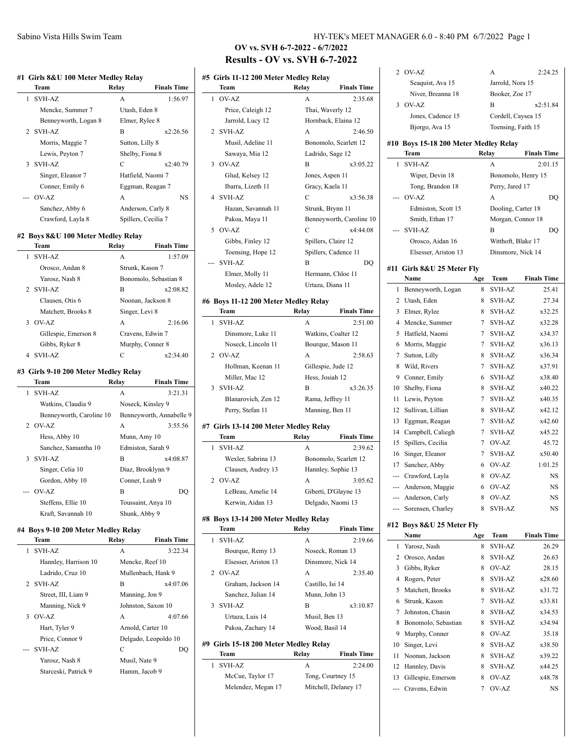|   | Team                                         | Relay           | <b>Finals Time</b>       |
|---|----------------------------------------------|-----------------|--------------------------|
| 1 | <b>SVH-AZ</b>                                | A               | 1:56.97                  |
|   | Mencke, Summer 7                             | Utash, Eden 8   |                          |
|   | Benneyworth, Logan 8                         |                 | Elmer, Rylee 8           |
| 2 | <b>SVH-AZ</b>                                | В               | x2:26.56                 |
|   | Morris, Maggie 7                             | Sutton, Lilly 8 |                          |
|   | Lewis, Peyton 7                              |                 | Shelby, Fiona 8          |
| 3 | SVH-AZ                                       | C               | x2:40.79                 |
|   | Singer, Eleanor 7                            |                 | Hatfield, Naomi 7        |
|   | Conner, Emily 6                              |                 | Eggman, Reagan 7         |
|   | OV-AZ                                        | A               | NS                       |
|   | Sanchez, Abby 6                              |                 | Anderson, Carly 8        |
|   | Crawford, Layla 8                            |                 | Spillers, Cecilia 7      |
|   | #2 Boys 8&U 100 Meter Medley Relay           |                 |                          |
|   | Team                                         | Relay           | <b>Finals Time</b>       |
| 1 | SVH-AZ                                       | A               | 1:57.09                  |
|   | Orosco, Andan 8                              |                 | Strunk, Kason 7          |
|   | Yarosz, Nash 8                               |                 | Bonomolo, Sebastian 8    |
| 2 | <b>SVH-AZ</b>                                | В               | x2:08.82                 |
|   | Clausen, Otis 6                              |                 | Noonan, Jackson 8        |
|   | Matchett, Brooks 8                           | Singer, Levi 8  |                          |
| 3 | OV-AZ                                        | А               | 2:16.06                  |
|   | Gillespie, Emerson 8                         |                 | Cravens, Edwin 7         |
|   | Gibbs, Ryker 8                               |                 | Murphy, Conner 8         |
| 4 | <b>SVH-AZ</b>                                | C               | x2:34.40                 |
|   | #3 Girls 9-10 200 Meter Medley Relay<br>Team | Relay           | <b>Finals Time</b>       |
| 1 | <b>SVH-AZ</b>                                | А               | 3:21.31                  |
|   | Watkins, Claudia 9                           |                 | Noseck, Kinsley 9        |
|   | Benneyworth, Caroline 10                     |                 | Benneyworth, Annabelle 9 |
| 2 | OV-AZ                                        | A               | 3:55.56                  |
|   | Hess, Abby 10                                |                 | Munn, Amy 10             |
|   | Sanchez, Samantha 10                         |                 | Edmiston, Sarah 9        |
| 3 | <b>SVH-AZ</b>                                | B               | x4:08.87                 |
|   | Singer, Celia 10                             |                 | Diaz, Brooklynn 9        |
|   | Gordon, Abby 10                              |                 | Conner, Leah 9           |
|   | OV-AZ                                        | В               | DQ                       |
|   | Steffens, Ellie 10                           |                 | Toussaint, Anya 10       |
|   | Kraft, Savannah 10                           |                 | Shunk, Abby 9            |
|   | #4 Boys 9-10 200 Meter Medley Relay          |                 |                          |
|   | Team                                         | Relay           | <b>Finals Time</b>       |
| 1 | <b>SVH-AZ</b>                                | А               | 3:22.34                  |
|   | Hannley, Harrison 10                         |                 | Mencke, Reef 10          |
|   | Ladrido, Cruz 10                             |                 | Mullenbach, Hank 9       |
| 2 | <b>SVH-AZ</b>                                | В               | x4:07.06                 |
|   | Street, III, Liam 9                          |                 | Manning, Jon 9           |
|   | Manning, Nick 9                              |                 | Johnston, Saxon 10       |
| 3 | OV-AZ                                        | А               | 4:07.66                  |
|   | Hart, Tyler 9                                |                 | Arnold, Carter 10        |
|   | Price, Connor 9                              |                 | Delgado, Leopoldo 10     |
|   |                                              |                 |                          |
|   | <b>SVH-AZ</b>                                | C               | DQ                       |

Starceski, Patrick 9 Hamm, Jacob 9

# Sabino Vista Hills Swim Team **HY-TEK's MEET MANAGER 6.0 - 8:40 PM 6/7/2022** Page 1

# **OV vs. SVH 6-7-2022 - 6/7/2022 Results - OV vs. SVH 6-7-2022**

## **#5 Girls 11-12 200 Meter Medley Relay Team Relay Finals Time** 1 OV-AZ A 2:35.68 Price, Caleigh 12 Thai, Waverly 12 Jarrold, Lucy 12 Hornback, Elaina 12 2 SVH-AZ A 2:46.50 Musil, Adeline 11 Bonomolo, Scarlett 12 Sawaya, Mia 12 Ladrido, Sage 12 3 OV-AZ B x3:05.22 Glud, Kelsey 12 Jones, Aspen 11 Ibarra, Lizeth 11 Gracy, Kaela 11 4 SVH-AZ C x3:56.38 Hazan, Savannah 11 Strunk, Brynn 11 Pakoa, Maya 11 Benneyworth, Caroline 10 5 OV-AZ C x4:44.08 Gibbs, Finley 12 Spillers, Claire 12 Toensing, Hope 12 Spillers, Cadence 11 --- SVH-AZ B DQ Elmer, Molly 11 Hermann, Chloe 11 Mosley, Adele 12 Urtaza, Diana 11 **#6 Boys 11-12 200 Meter Medley Relay Team Relay Finals Time** 1 SVH-AZ A 2:51.00 Dinsmore, Luke 11 Watkins, Coalter 12 Noseck, Lincoln 11 Bourque, Mason 11 2 OV-AZ A 2:58.63 Hollman, Keenan 11 Gillespie, Jude 12 Miller, Mac 12 Hess, Josiah 12 3 SVH-AZ B x3:26.35 Blanarovich, Zen 12 Rama, Jeffrey 11 Perry, Stefan 11 Manning, Ben 11 **#7 Girls 13-14 200 Meter Medley Relay Team Relay Finals Time** 1 SVH-AZ A 2:39.62 Wexler, Sabrina 13 Bonomolo, Scarlett 12 Clausen, Audrey 13 Hannley, Sophie 13 2 OV-AZ A 3:05.62 LeBeau, Amelie 14 Giberti, D'Glayne 13 Kerwin, Aidan 13 Delgado, Naomi 13 **#8 Boys 13-14 200 Meter Medley Relay Team Relay Finals Time** 1 SVH-AZ A 2:19.66 Bourque, Remy 13 Noseck, Roman 13 Elsesser, Ariston 13 Dinsmore, Nick 14 2 OV-AZ A 2:35.40 Graham, Jackson 14 Castillo, Isi 14 Sanchez, Julian 14 Munn, John 13 3 SVH-AZ B x3:10.87 Urtaza, Luis 14 Musil, Ben 13 Pakoa, Zachary 14 Wood, Basil 14 **#9 Girls 15-18 200 Meter Medley Relay Team Relay Finals Time**

| теаш               | кенау | гшать типе           |
|--------------------|-------|----------------------|
| 1 SVH-AZ           | А     | 2:24.00              |
| McCue, Taylor 17   |       | Tong, Courtney 15    |
| Melendez, Megan 17 |       | Mitchell, Delaney 17 |
|                    |       |                      |

| 2   | OV-AZ                                 |     | А                  | 2:24.25            |
|-----|---------------------------------------|-----|--------------------|--------------------|
|     | Seaquist, Ava 15                      |     | Jarrold, Nora 15   |                    |
|     | Niver, Breanna 18                     |     | Booker, Zoe 17     |                    |
| 3   | OV-AZ                                 |     | B                  | x2:51.84           |
|     | Jones, Cadence 15                     |     | Cordell, Caysea 15 |                    |
|     | Bjorgo, Ava 15                        |     | Toensing, Faith 15 |                    |
|     | #10 Boys 15-18 200 Meter Medley Relay |     |                    |                    |
|     | Team                                  |     | Relay              | <b>Finals Time</b> |
| 1   | <b>SVH-AZ</b>                         |     | A                  | 2:01.15            |
|     | Wiper, Devin 18                       |     | Bonomolo, Henry 15 |                    |
|     | Tong, Brandon 18                      |     | Perry, Jared 17    |                    |
|     | OV-AZ                                 |     | A                  | DQ                 |
|     | Edmiston, Scott 15                    |     | Dooling, Carter 18 |                    |
|     | Smith, Ethan 17                       |     | Morgan, Connor 18  |                    |
|     | <b>SVH-AZ</b>                         |     | B                  | DQ                 |
|     | Orosco, Aidan 16                      |     | Witthoft, Blake 17 |                    |
|     | Elsesser, Ariston 13                  |     | Dinsmore, Nick 14  |                    |
|     |                                       |     |                    |                    |
|     | #11 Girls 8&U 25 Meter Fly<br>Name    | Age | Team               | <b>Finals Time</b> |
| 1   | Benneyworth, Logan                    | 8   | <b>SVH-AZ</b>      | 25.41              |
| 2   | Utash, Eden                           | 8   | SVH-AZ             | 27.34              |
| 3   | Elmer, Rylee                          | 8   | SVH-AZ             | x32.25             |
| 4   | Mencke, Summer                        | 7   | <b>SVH-AZ</b>      | x32.28             |
| 5   | Hatfield, Naomi                       | 7   | SVH-AZ             | x34.37             |
| 6   | Morris, Maggie                        | 7   | SVH-AZ             | x36.13             |
| 7   | Sutton, Lilly                         | 8   | <b>SVH-AZ</b>      | x36.34             |
| 8   | Wild, Rivers                          | 7   | SVH-AZ             | x37.91             |
| 9   | Conner, Emily                         | 6   | SVH-AZ             | x38.40             |
| 10  | Shelby, Fiona                         | 8   | SVH-AZ             | x40.22             |
| 11  | Lewis, Peyton                         | 7   | SVH-AZ             | x40.35             |
| 12  | Sullivan, Lillian                     | 8   | SVH-AZ             | x42.12             |
| 13  | Eggman, Reagan                        | 7   | SVH-AZ             | x42.60             |
| 14  | Campbell, Caliegh                     | 7   | <b>SVH-AZ</b>      | x45.22             |
| 15  | Spillers, Cecilia                     | 7   | OV-AZ              | 45.72              |
| 16  | Singer, Eleanor                       | 7   | <b>SVH-AZ</b>      | x50.40             |
| 17  | Sanchez, Abby                         | 6   | OV-AZ              | 1:01.25            |
|     | --- Crawford, Layla                   | 8   | OV-AZ              | NS                 |
| --- | Anderson, Maggie                      | 6   | OV-AZ              | <b>NS</b>          |
|     | --- Anderson, Carly                   | 8   | OV-AZ              | NS                 |
|     | Sorensen, Charley                     | 8   | SVH-AZ             | NS                 |
|     |                                       |     |                    |                    |
|     | #12 Boys 8&U 25 Meter Fly<br>Name     | Age | Team               | <b>Finals Time</b> |
| 1   | Yarosz, Nash                          | 8   | SVH-AZ             | 26.29              |
| 2   | Orosco, Andan                         | 8   | SVH-AZ             | 26.63              |
| 3   | Gibbs, Ryker                          | 8   | OV-AZ              | 28.15              |
| 4   | Rogers, Peter                         | 8   | <b>SVH-AZ</b>      | x28.60             |
| 5   | Matchett, Brooks                      | 8   | <b>SVH-AZ</b>      | x31.72             |
|     | 6 Strunk, Kason                       | 7   | SVH-AZ             | x33.81             |
|     |                                       |     |                    |                    |

|   | 5 Matchett, Brooks    | 8 | SVH-AZ        | x31.72    |
|---|-----------------------|---|---------------|-----------|
|   | 6 Strunk, Kason       | 7 | SVH-AZ        | x33.81    |
|   | Johnston, Chasin      | 8 | SVH-AZ        | x34.53    |
| 8 | Bonomolo, Sebastian   | 8 | <b>SVH-AZ</b> | x34.94    |
|   | 9 Murphy, Conner      | 8 | OVAZ          | 35.18     |
|   | 10 Singer, Levi       | 8 | <b>SVH-AZ</b> | x38.50    |
|   | 11 Noonan, Jackson    | 8 | <b>SVH-AZ</b> | x39.22    |
|   | 12 Hannley, Davis     | 8 | <b>SVH-AZ</b> | x44.25    |
|   | 13 Gillespie, Emerson | 8 | OVAZ          | x48.78    |
|   | --- Cravens, Edwin    |   | OV-AZ         | <b>NS</b> |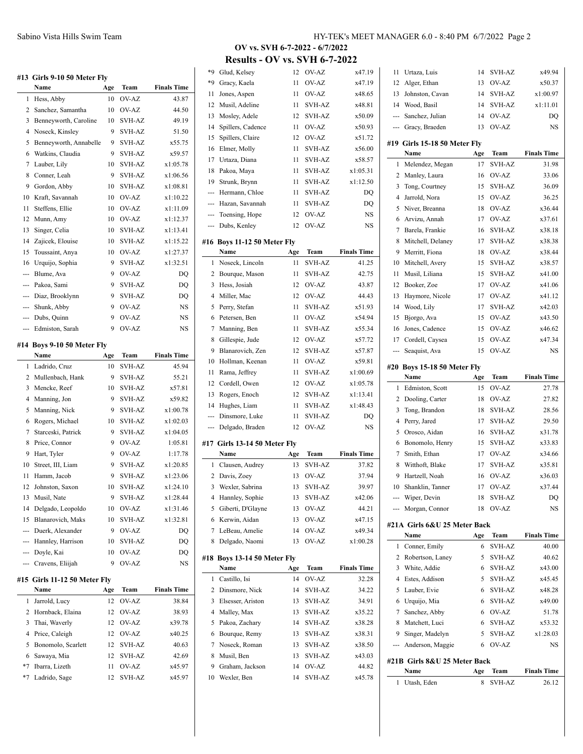|        | #13 Girls 9-10 50 Meter Fly          |           |                  |                    |
|--------|--------------------------------------|-----------|------------------|--------------------|
|        | Name                                 | Age       | Team             | <b>Finals Time</b> |
| 1      | Hess, Abby                           | 10        | OV-AZ            | 43.87              |
| 2      | Sanchez, Samantha                    | 10        | OV-AZ            | 44.50              |
| 3      | Benneyworth, Caroline                | 10        | SVH-AZ           | 49.19              |
| 4      | Noseck, Kinsley                      | 9         | SVH-AZ           | 51.50              |
| 5      | Benneyworth, Annabelle               | 9         | <b>SVH-AZ</b>    | x55.75             |
| 6      | Watkins, Claudia                     | 9         | <b>SVH-AZ</b>    | x59.57             |
| 7      | Lauber, Lily                         | 10        | <b>SVH-AZ</b>    | x1:05.78           |
| 8      | Conner, Leah                         | 9         | <b>SVH-AZ</b>    | x1:06.56           |
| 9      | Gordon, Abby                         | 10        | <b>SVH-AZ</b>    | x1:08.81           |
| 10     | Kraft, Savannah                      | 10        | OV-AZ            | x1:10.22           |
| 11     | Steffens, Ellie                      | 10        | OV-AZ            | x1:11.09           |
| 12     | Munn, Amy                            | 10        | OV-AZ            | x1:12.37           |
| 13     | Singer, Celia                        | 10        | <b>SVH-AZ</b>    | x1:13.41           |
| 14     | Zajicek, Elouise                     | 10        | <b>SVH-AZ</b>    | x1:15.22           |
| 15     | Toussaint, Anya                      | 10        | OV-AZ            | x1:27.37           |
| 16     | Urquijo, Sophia                      | 9         | <b>SVH-AZ</b>    | x1:32.51           |
| ---    | Blume, Ava                           | 9         | OV-AZ            | DQ                 |
| ---    | Pakoa, Sami                          | 9         | <b>SVH-AZ</b>    | DQ                 |
| ---    | Diaz, Brooklynn                      | 9         | <b>SVH-AZ</b>    | DQ                 |
| ---    | Shunk, Abby                          | 9         | OV-AZ            | NS                 |
|        | Dubs, Quinn                          | 9         | OV-AZ            | <b>NS</b>          |
| ---    | Edmiston, Sarah                      | 9         | OV-AZ            | NS                 |
|        |                                      |           |                  |                    |
| #14    | Boys 9-10 50 Meter Fly               |           |                  |                    |
|        | Name                                 | Age       | Team             | <b>Finals Time</b> |
| 1      | Ladrido, Cruz                        | 10        | <b>SVH-AZ</b>    | 45.94              |
| 2      | Mullenbach, Hank                     | 9         | SVH-AZ           | 55.21              |
| 3      | Mencke, Reef                         | 10        | SVH-AZ           | x57.81             |
|        |                                      |           |                  |                    |
| 4      | Manning, Jon                         | 9         | <b>SVH-AZ</b>    | x59.82             |
| 5      | Manning, Nick                        | 9         | <b>SVH-AZ</b>    | x1:00.78           |
| 6      | Rogers, Michael                      | 10        | <b>SVH-AZ</b>    | x1:02.03           |
| 7      | Starceski, Patrick                   | 9         | <b>SVH-AZ</b>    | x1:04.05           |
| 8      | Price, Connor                        | 9         | OV-AZ            | 1:05.81            |
| 9      | Hart, Tyler                          | 9         | OV-AZ            | 1:17.78            |
| 10     | Street, III, Liam                    | 9         | <b>SVH-AZ</b>    | x1:20.85           |
| 11     | Hamm, Jacob                          | 9         | SVH-AZ           | x1:23.06           |
| 12     | Johnston, Saxon                      | 10        | SVH-AZ           | x1:24.10           |
| 13     | Musil, Nate                          | 9         | <b>SVH-AZ</b>    | x1:28.44           |
| 14     | Delgado, Leopoldo                    | 10        | OV-AZ            | x1:31.46           |
| 15     | Blanarovich, Maks                    | 10        | SVH-AZ           | x1:32.81           |
|        | --- Duerk, Alexander                 | 9         | OV-AZ            | DQ                 |
|        | --- Hannley, Harrison                | 10        | <b>SVH-AZ</b>    | DQ                 |
| ---    | Doyle, Kai                           | 10        | OV-AZ            | DQ                 |
|        | Cravens, Eliijah                     | 9         | OV-AZ            | NS                 |
|        |                                      |           |                  |                    |
|        | #15 Girls 11-12 50 Meter Fly<br>Name |           | Team             | <b>Finals Time</b> |
| 1      |                                      | Age<br>12 | OV-AZ            | 38.84              |
|        | Jarrold, Lucy                        |           |                  |                    |
| 2      | Hornback, Elaina                     | 12        | OV-AZ            | 38.93              |
| 3      | Thai, Waverly                        | 12        | OV-AZ            | x39.78             |
| 4      | Price, Caleigh                       | 12        | OV-AZ            | x40.25             |
| 5<br>6 | Bonomolo, Scarlett<br>Sawaya, Mia    | 12<br>12  | SVH-AZ<br>SVH-AZ | 40.63<br>42.69     |

\*7 Ladrido, Sage 12 SVH-AZ x45.97

**OV vs. SVH 6-7-2022 - 6/7/2022 Results - OV vs. SVH 6-7-2022**

| *9   | Glud, Kelsey                        | 12       | OV-AZ           | x47.19             |
|------|-------------------------------------|----------|-----------------|--------------------|
| $*9$ | Gracy, Kaela                        | 11       | OV-AZ           | x47.19             |
| 11   | Jones, Aspen                        | 11       | OV-AZ           | x48.65             |
| 12   | Musil, Adeline                      | 11       | <b>SVH-AZ</b>   | x48.81             |
| 13   | Mosley, Adele                       | 12       | <b>SVH-AZ</b>   | x50.09             |
| 14   | Spillers, Cadence                   | 11       | OV-AZ           | x50.93             |
| 15   | Spillers, Claire                    | 12       | OV-AZ           | x51.72             |
| 16   | Elmer, Molly                        | 11       | <b>SVH-AZ</b>   | x56.00             |
| 17   | Urtaza, Diana                       | 11       | <b>SVH-AZ</b>   | x58.57             |
| 18   | Pakoa, Maya                         | 11       | <b>SVH-AZ</b>   | x1:05.31           |
| 19   | Strunk, Brynn                       | 11       | <b>SVH-AZ</b>   | x1:12.50           |
| ---  | Hermann, Chloe                      | 11       | <b>SVH-AZ</b>   | DQ                 |
| ---  | Hazan, Savannah                     | 11       | SVH-AZ          | DO                 |
| ---  | Toensing, Hope                      | 12       | OV-AZ           | NS                 |
| ---  | Dubs, Kenley                        | 12       | OV-AZ           | NS                 |
|      |                                     |          |                 |                    |
|      | #16 Boys 11-12 50 Meter Fly         |          |                 |                    |
|      | Name                                | Age      | Team            | <b>Finals Time</b> |
| 1    | Noseck, Lincoln                     | 11       | <b>SVH-AZ</b>   | 41.25              |
| 2    | Bourque, Mason                      | 11       | SVH-AZ          | 42.75              |
| 3    | Hess, Josiah                        | 12       | OV-AZ           | 43.87              |
| 4    | Miller, Mac                         | 12       | OV-AZ           | 44.43              |
| 5    | Perry, Stefan                       | 11       | <b>SVH-AZ</b>   | x51.93             |
| 6    | Petersen, Ben                       | 11       | OV-AZ           | x54.94             |
| 7    | Manning, Ben                        | 11       | SVH-AZ          | x55.34             |
| 8    | Gillespie, Jude                     | 12       | OV-AZ           | x57.72             |
| 9    | Blanarovich, Zen                    | 12       | <b>SVH-AZ</b>   | x57.87             |
| 10   | Hollman, Keenan                     | 11       | OV-AZ           | x59.81             |
| 11   | Rama, Jeffrey                       | 11       | <b>SVH-AZ</b>   | x1:00.69           |
|      |                                     |          |                 |                    |
| 12   | Cordell, Owen                       | 12       | OV-AZ           | x1:05.78           |
| 13   | Rogers, Enoch                       | 12       | SVH-AZ          | x1:13.41           |
| 14   | Hughes, Liam                        | 11       | SVH-AZ          | x1:48.43           |
| ---  | Dinsmore, Luke                      | 11       | SVH-AZ          | DQ                 |
| ---  | Delgado, Braden                     | 12       | OV-AZ           | NS                 |
|      | #17 Girls 13-14 50 Meter Fly        |          |                 |                    |
|      | Name                                | Age      | Team            | <b>Finals Time</b> |
| 1    | Clausen, Audrey                     | 13       | <b>SVH-AZ</b>   | 37.82              |
| 2    | Davis, Zoey                         | 13       | OV-AZ           | 37.94              |
| 3    | Wexler, Sabrina                     | 13       | <b>SVH-AZ</b>   | 39.97              |
| 4    | Hannley, Sophie                     | 13       | <b>SVH-AZ</b>   | x42.06             |
| 5    | Giberti, D'Glayne                   | 13       | OV-AZ           | 44.21              |
| 6    | Kerwin, Aidan                       | 13       | OV-AZ           | x47.15             |
| 7    | LeBeau, Amelie                      | 14       | OV-AZ           | x49.34             |
| 8    | Delgado, Naomi                      | 13       | OV-AZ           | x1:00.28           |
|      |                                     |          |                 |                    |
|      | #18 Boys 13-14 50 Meter Fly<br>Name | Age      | Team            | <b>Finals Time</b> |
| 1    | Castillo, Isi                       | 14       | OV-AZ           | 32.28              |
| 2    | Dinsmore, Nick                      | 14       | SVH-AZ          | 34.22              |
| 3    | Elsesser, Ariston                   | 13       | SVH-AZ          | 34.91              |
| 4    | Malley, Max                         | 13       | SVH-AZ          | x35.22             |
| 5    | Pakoa, Zachary                      | 14       | SVH-AZ          | x38.28             |
| 6    | Bourque, Remy                       | 13       | SVH-AZ          | x38.31             |
| 7    | Noseck, Roman                       | 13       | SVH-AZ          | x38.50             |
| 8    |                                     |          |                 |                    |
| 9    | Musil, Ben                          | 13<br>14 | SVH-AZ          | x43.03             |
| 10   | Graham, Jackson<br>Wexler, Ben      | 14       | OV-AZ<br>SVH-AZ | 44.82<br>x45.78    |

| 11  | Urtaza, Luis                 | 14  | <b>SVH-AZ</b> | x49.94             |
|-----|------------------------------|-----|---------------|--------------------|
| 12  | Alger, Ethan                 | 13  | OV-AZ         | x50.37             |
| 13  | Johnston, Cavan              | 14  | <b>SVH-AZ</b> | x1:00.97           |
| 14  | Wood, Basil                  | 14  | <b>SVH-AZ</b> | x1:11.01           |
| --- | Sanchez, Julian              | 14  | OV-AZ         | DO                 |
| --- | Gracy, Braeden               | 13  | OV-AZ         | NS                 |
|     | #19 Girls 15-18 50 Meter Fly |     |               |                    |
|     | Name                         | Age | Team          | <b>Finals Time</b> |
| 1   | Melendez, Megan              | 17  | <b>SVH-AZ</b> | 31.98              |
| 2   | Manley, Laura                | 16  | OV-AZ         | 33.06              |
| 3   | Tong, Courtney               | 15  | <b>SVH-AZ</b> | 36.09              |
| 4   | Jarrold, Nora                | 15  | OV-AZ         | 36.25              |
| 5   | Niver, Breanna               | 18  | OV-AZ         | x36.44             |
| 6   | Arvizu, Annah                | 17  | OV-AZ         | x37.61             |
| 7   | Barela, Frankie              | 16  | SVH-AZ        | x38.18             |
| 8   | Mitchell, Delaney            | 17  | <b>SVH-AZ</b> | x38.38             |
| 9   | Merritt, Fiona               | 18  | OV-AZ         | x38.44             |
| 10  | Mitchell, Avery              | 15  | <b>SVH-AZ</b> | x38.57             |
| 11  | Musil, Liliana               | 15  | <b>SVH-AZ</b> | x41.00             |
| 12  | Booker, Zoe                  | 17  | OV-AZ         | x41.06             |
| 13  | Haymore, Nicole              | 17  | OV-AZ         | x41.12             |
| 14  | Wood, Lily                   | 17  | <b>SVH-AZ</b> | x42.03             |
| 15  | Bjorgo, Ava                  | 15  | OV-AZ         | x43.50             |
| 16  | Jones, Cadence               | 15  | OV-AZ         | x46.62             |
| 17  | Cordell, Caysea              | 15  | OV-AZ         | x47.34             |
| --- | Seaquist, Ava                | 15  | OV-AZ         | NS                 |
|     |                              |     |               |                    |
|     | #20 Boys 15-18 50 Meter Fly  |     |               |                    |
|     | Name                         | Age | Team          | <b>Finals Time</b> |
| 1   | Edmiston, Scott              | 15  | OV-AZ         | 27.78              |
| 2   | Dooling, Carter              | 18  | OV-AZ         | 27.82              |
| 3   | Tong, Brandon                | 18  | SVH-AZ        | 28.56              |
| 4   | Perry, Jared                 | 17  | <b>SVH-AZ</b> | 29.50              |
| 5   | Orosco, Aidan                | 16  | SVH-AZ        | x31.78             |
| 6   | Bonomolo, Henry              | 15  | <b>SVH-AZ</b> | x33.83             |
| 7   | Smith, Ethan                 | 17  | OV-AZ         | x34.66             |
| 8   | Witthoft, Blake              | 17  | <b>SVH-AZ</b> | x35.81             |
| 9   | Hartzell, Noah               | 16  | OV-AZ         | x36.03             |
| 10  | Shanklin, Tanner             | 17  | OV-AZ         | x37.44             |
|     | --- Wiper, Devin             | 18  | <b>SVH-AZ</b> | DQ                 |
|     | Morgan, Connor               | 18  | OV-AZ         | NS                 |
|     | #21A Girls 6&U 25 Meter Back |     |               |                    |
|     | Name                         | Age | Team          | <b>Finals Time</b> |
| 1   | Conner, Emily                | 6   | SVH-AZ        | 40.00              |
| 2   | Robertson, Laney             | 5   | SVH-AZ        | 40.62              |
| 3   | White, Addie                 | 6   | SVH-AZ        | x43.00             |
| 4   | Estes, Addison               | 5   | SVH-AZ        | x45.45             |
| 5   | Lauber, Evie                 | 6   | <b>SVH-AZ</b> | x48.28             |
| 6   | Urquijo, Mia                 | 6   | <b>SVH-AZ</b> | x49.00             |
| 7   | Sanchez, Abby                | 6   | OV-AZ         | 51.78              |
| 8   | Matchett, Luci               | 6   | <b>SVH-AZ</b> | x53.32             |
| 9   |                              | 5   | <b>SVH-AZ</b> |                    |
|     | Singer, Madelyn              |     |               | x1:28.03           |
| --- | Anderson, Maggie             | 6   | OV-AZ         | NS                 |
|     | #21B Girls 8&U 25 Meter Back |     |               |                    |
|     | Name                         | Age | Team          | <b>Finals Time</b> |
| 1   | Utash, Eden                  | 8   | <b>SVH-AZ</b> | 26.12              |
|     |                              |     |               |                    |
|     |                              |     |               |                    |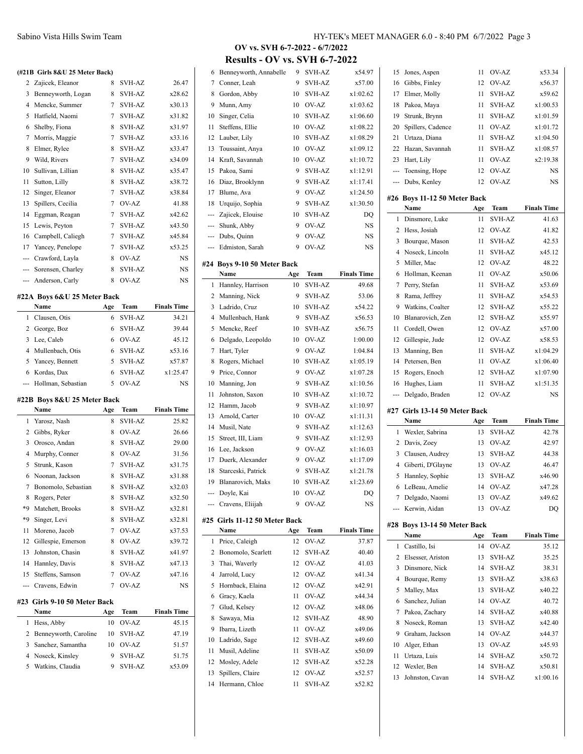### **(#21B Girls 8&U 25 Meter Back)**

|     | (#21B Girls 8&U 25 Meter Back) |     |               |                    |
|-----|--------------------------------|-----|---------------|--------------------|
| 2   | Zajicek, Eleanor               | 8   | <b>SVH-AZ</b> | 26.47              |
| 3   | Benneyworth, Logan             | 8   | SVH-AZ        | x28.62             |
| 4   | Mencke, Summer                 | 7   | <b>SVH-AZ</b> | x30.13             |
| 5   | Hatfield, Naomi                | 7   | SVH-AZ        | x31.82             |
| 6   | Shelby, Fiona                  | 8   | SVH-AZ        | x31.97             |
| 7   | Morris, Maggie                 | 7   | <b>SVH-AZ</b> | x33.16             |
| 8   | Elmer, Rylee                   | 8   | SVH-AZ        | x33.47             |
| 9   | Wild, Rivers                   | 7   | SVH-AZ        | x34.09             |
| 10  | Sullivan, Lillian              | 8   | SVH-AZ        | x35.47             |
| 11  | Sutton, Lilly                  | 8   | SVH-AZ        | x38.72             |
| 12  | Singer, Eleanor                | 7   | <b>SVH-AZ</b> | x38.84             |
| 13  | Spillers, Cecilia              | 7   | OV-AZ         | 41.88              |
| 14  | Eggman, Reagan                 | 7   | SVH-AZ        | x42.62             |
| 15  | Lewis, Peyton                  | 7   | SVH-AZ        | x43.50             |
| 16  | Campbell, Caliegh              | 7   | SVH-AZ        | x45.84             |
| 17  | Yancey, Penelope               | 7   | SVH-AZ        | x53.25             |
| --- | Crawford, Layla                | 8   | OV-AZ         | NS                 |
| --- | Sorensen, Charley              | 8   | <b>SVH-AZ</b> | NS                 |
| --- | Anderson, Carly                | 8   | OV-AZ         | NS                 |
|     | #22A Boys 6&U 25 Meter Back    |     |               |                    |
|     | Name                           | Age | Team          | <b>Finals Time</b> |
| 1   | Clausen, Otis                  | 6   | <b>SVH-AZ</b> | 34.21              |
| 2   | George, Boz                    | 6   | SVH-AZ        | 39.44              |
| 3   | Lee, Caleb                     | 6   | OV-AZ         | 45.12              |
| 4   | Mullenbach, Otis               | 6   | SVH-AZ        | x53.16             |
| 5   | Yancey, Bennett                | 5   | SVH-AZ        | x57.87             |
| 6   | Kordas, Dax                    | 6   | SVH-AZ        | x1:25.47           |
| --- | Hollman, Sebastian             | 5   | OV-AZ         | NS                 |
|     |                                |     |               |                    |
|     | #22B Boys 8&U 25 Meter Back    |     |               |                    |
|     | Name                           |     |               | <b>Finals Time</b> |
|     |                                | Age | Team          |                    |
| 1   | Yarosz, Nash                   | 8   | SVH-AZ        | 25.82              |
| 2   | Gibbs, Ryker                   | 8   | OV-AZ         | 26.66              |
| 3   | Orosco, Andan                  | 8   | SVH-AZ        | 29.00              |
| 4   | Murphy, Conner                 | 8   | OV-AZ         | 31.56              |
| 5   | Strunk, Kason                  | 7   | SVH-AZ        | x31.75             |
| 6   | Noonan, Jackson                | 8   | SVH-AZ        | x31.88             |
| 7   | Bonomolo, Sebastian            | 8   | SVH-AZ        | x32.03             |
| 8   | Rogers, Peter                  | 8   | SVH-AZ        | x32.50             |
| *9  | Matchett, Brooks               | 8   | SVH-AZ        | x32.81             |
| *9  | Singer, Levi                   | 8   | SVH-AZ        | x32.81             |
| 11  | Moreno, Jacob                  | 7   | OV-AZ         | x37.53             |
| 12  | Gillespie, Emerson             | 8   | OV-AZ         | x39.72             |
| 13  | Johnston, Chasin               | 8   | SVH-AZ        | x41.97             |
| 14  | Hannley, Davis                 | 8   | SVH-AZ        | x47.13             |
| 15  | Steffens, Samson               | 7   | OV-AZ         | x47.16             |
| --- | Cravens, Edwin                 | 7   | OV-AZ         | <b>NS</b>          |
| #23 | Girls 9-10 50 Meter Back       |     |               |                    |
|     | Name                           | Age | Team          | <b>Finals Time</b> |
| 1   | Hess, Abby                     | 10  | OV-AZ         | 45.15              |
| 2   | Benneyworth, Caroline          | 10  | SVH-AZ        | 47.19              |
| 3   | Sanchez, Samantha              | 10  | OV-AZ         | 51.57              |
| 4   | Noseck, Kinsley                | 9   | SVH-AZ        | 51.75              |
| 5   | Watkins, Claudia               | 9   | SVH-AZ        | x53.09             |

## **OV vs. SVH 6-7-2022 - 6/7/2022 Results - OV vs. SVH 6-7-2022**

| 7<br>Conner, Leah<br>9<br><b>SVH-AZ</b><br>Gordon, Abby<br>SVH-AZ<br>8<br>10<br>9<br>Munn, Amy<br>OV-AZ<br>10<br>Singer, Celia<br>10<br>10<br>SVH-AZ<br>Steffens, Ellie<br>OV-AZ<br>11<br>10<br>12 Lauber, Lily<br><b>SVH-AZ</b><br>10<br>Toussaint, Anya<br>OV-AZ<br>13<br>10<br>Kraft, Savannah<br>OV-AZ<br>14<br>10<br>15<br>Pakoa, Sami<br>9<br><b>SVH-AZ</b><br>Diaz, Brooklynn<br>9<br>SVH-AZ<br>16<br>17 Blume, Ava<br>9<br>OV-AZ<br>Urquijo, Sophia<br>9<br>SVH-AZ<br>18<br>--- Zajicek, Elouise<br>10<br>SVH-AZ<br>Shunk, Abby<br>9<br>OV-AZ<br>---<br>--- Dubs, Quinn<br>9<br>OV-AZ<br>--- Edmiston, Sarah<br>9<br>OV-AZ<br>#24 Boys 9-10 50 Meter Back<br>Name<br>Team<br>Age | x57.00<br>x1:02.62<br>x1:03.62<br>x1:06.60<br>x1:08.22<br>x1:08.29<br>x1:09.12<br>x1:10.72<br>x1:12.91<br>x1:17.41<br>x1:24.50<br>x1:30.50<br>DQ<br>NS<br>NS<br>NS |
|------------------------------------------------------------------------------------------------------------------------------------------------------------------------------------------------------------------------------------------------------------------------------------------------------------------------------------------------------------------------------------------------------------------------------------------------------------------------------------------------------------------------------------------------------------------------------------------------------------------------------------------------------------------------------------------|--------------------------------------------------------------------------------------------------------------------------------------------------------------------|
|                                                                                                                                                                                                                                                                                                                                                                                                                                                                                                                                                                                                                                                                                          |                                                                                                                                                                    |
|                                                                                                                                                                                                                                                                                                                                                                                                                                                                                                                                                                                                                                                                                          |                                                                                                                                                                    |
|                                                                                                                                                                                                                                                                                                                                                                                                                                                                                                                                                                                                                                                                                          |                                                                                                                                                                    |
|                                                                                                                                                                                                                                                                                                                                                                                                                                                                                                                                                                                                                                                                                          |                                                                                                                                                                    |
|                                                                                                                                                                                                                                                                                                                                                                                                                                                                                                                                                                                                                                                                                          |                                                                                                                                                                    |
|                                                                                                                                                                                                                                                                                                                                                                                                                                                                                                                                                                                                                                                                                          |                                                                                                                                                                    |
|                                                                                                                                                                                                                                                                                                                                                                                                                                                                                                                                                                                                                                                                                          |                                                                                                                                                                    |
|                                                                                                                                                                                                                                                                                                                                                                                                                                                                                                                                                                                                                                                                                          |                                                                                                                                                                    |
|                                                                                                                                                                                                                                                                                                                                                                                                                                                                                                                                                                                                                                                                                          |                                                                                                                                                                    |
|                                                                                                                                                                                                                                                                                                                                                                                                                                                                                                                                                                                                                                                                                          |                                                                                                                                                                    |
|                                                                                                                                                                                                                                                                                                                                                                                                                                                                                                                                                                                                                                                                                          |                                                                                                                                                                    |
|                                                                                                                                                                                                                                                                                                                                                                                                                                                                                                                                                                                                                                                                                          |                                                                                                                                                                    |
|                                                                                                                                                                                                                                                                                                                                                                                                                                                                                                                                                                                                                                                                                          |                                                                                                                                                                    |
|                                                                                                                                                                                                                                                                                                                                                                                                                                                                                                                                                                                                                                                                                          |                                                                                                                                                                    |
|                                                                                                                                                                                                                                                                                                                                                                                                                                                                                                                                                                                                                                                                                          |                                                                                                                                                                    |
|                                                                                                                                                                                                                                                                                                                                                                                                                                                                                                                                                                                                                                                                                          |                                                                                                                                                                    |
|                                                                                                                                                                                                                                                                                                                                                                                                                                                                                                                                                                                                                                                                                          |                                                                                                                                                                    |
|                                                                                                                                                                                                                                                                                                                                                                                                                                                                                                                                                                                                                                                                                          |                                                                                                                                                                    |
|                                                                                                                                                                                                                                                                                                                                                                                                                                                                                                                                                                                                                                                                                          | <b>Finals Time</b>                                                                                                                                                 |
| Hannley, Harrison<br><b>SVH-AZ</b><br>10<br>1                                                                                                                                                                                                                                                                                                                                                                                                                                                                                                                                                                                                                                            | 49.68                                                                                                                                                              |
| Manning, Nick<br>2<br>9<br>SVH-AZ                                                                                                                                                                                                                                                                                                                                                                                                                                                                                                                                                                                                                                                        | 53.06                                                                                                                                                              |
| Ladrido, Cruz<br>SVH-AZ<br>3<br>10                                                                                                                                                                                                                                                                                                                                                                                                                                                                                                                                                                                                                                                       | x54.22                                                                                                                                                             |
| 4<br>Mullenbach, Hank<br>SVH-AZ<br>9                                                                                                                                                                                                                                                                                                                                                                                                                                                                                                                                                                                                                                                     | x56.53                                                                                                                                                             |
| Mencke, Reef<br>5<br>SVH-AZ<br>10                                                                                                                                                                                                                                                                                                                                                                                                                                                                                                                                                                                                                                                        | x56.75                                                                                                                                                             |
| Delgado, Leopoldo<br>OV-AZ<br>6<br>10                                                                                                                                                                                                                                                                                                                                                                                                                                                                                                                                                                                                                                                    | 1:00.00                                                                                                                                                            |
| Hart, Tyler<br>OV-AZ<br>7<br>9                                                                                                                                                                                                                                                                                                                                                                                                                                                                                                                                                                                                                                                           | 1:04.84                                                                                                                                                            |
| Rogers, Michael<br>8<br>10<br>SVH-AZ                                                                                                                                                                                                                                                                                                                                                                                                                                                                                                                                                                                                                                                     | x1:05.19                                                                                                                                                           |
| 9<br>Price, Connor<br>9<br>OV-AZ                                                                                                                                                                                                                                                                                                                                                                                                                                                                                                                                                                                                                                                         | x1:07.28                                                                                                                                                           |
| Manning, Jon<br><b>SVH-AZ</b><br>10<br>9                                                                                                                                                                                                                                                                                                                                                                                                                                                                                                                                                                                                                                                 | x1:10.56                                                                                                                                                           |
| Johnston, Saxon<br>11<br>10<br>SVH-AZ                                                                                                                                                                                                                                                                                                                                                                                                                                                                                                                                                                                                                                                    | x1:10.72                                                                                                                                                           |
| Hamm, Jacob<br>9<br><b>SVH-AZ</b><br>12                                                                                                                                                                                                                                                                                                                                                                                                                                                                                                                                                                                                                                                  | x1:10.97                                                                                                                                                           |
| Arnold, Carter<br>OV-AZ<br>13<br>10                                                                                                                                                                                                                                                                                                                                                                                                                                                                                                                                                                                                                                                      | x1:11.31                                                                                                                                                           |
| Musil, Nate<br><b>SVH-AZ</b><br>14<br>9                                                                                                                                                                                                                                                                                                                                                                                                                                                                                                                                                                                                                                                  | x1:12.63                                                                                                                                                           |
| Street, III, Liam<br>9<br><b>SVH-AZ</b><br>15                                                                                                                                                                                                                                                                                                                                                                                                                                                                                                                                                                                                                                            | x1:12.93                                                                                                                                                           |
| OV-AZ<br>Lee, Jackson<br>9<br>16                                                                                                                                                                                                                                                                                                                                                                                                                                                                                                                                                                                                                                                         | x1:16.03                                                                                                                                                           |
| Duerk, Alexander<br>9<br>OV-AZ<br>17                                                                                                                                                                                                                                                                                                                                                                                                                                                                                                                                                                                                                                                     | x1:17.09                                                                                                                                                           |
| Starceski, Patrick<br>9<br>18<br>SVH-AZ                                                                                                                                                                                                                                                                                                                                                                                                                                                                                                                                                                                                                                                  | x1:21.78                                                                                                                                                           |
| Blanarovich, Maks<br><b>SVH-AZ</b><br>19<br>10                                                                                                                                                                                                                                                                                                                                                                                                                                                                                                                                                                                                                                           | x1:23.69                                                                                                                                                           |
|                                                                                                                                                                                                                                                                                                                                                                                                                                                                                                                                                                                                                                                                                          | DQ                                                                                                                                                                 |
| 10<br>OV-AZ<br>Doyle, Kai<br>₩.                                                                                                                                                                                                                                                                                                                                                                                                                                                                                                                                                                                                                                                          |                                                                                                                                                                    |
| Cravens, Eliijah<br>9<br>OV-AZ                                                                                                                                                                                                                                                                                                                                                                                                                                                                                                                                                                                                                                                           | NS                                                                                                                                                                 |
|                                                                                                                                                                                                                                                                                                                                                                                                                                                                                                                                                                                                                                                                                          |                                                                                                                                                                    |
| #25 Girls 11-12 50 Meter Back                                                                                                                                                                                                                                                                                                                                                                                                                                                                                                                                                                                                                                                            |                                                                                                                                                                    |
| Team<br>Name<br>Age<br>1                                                                                                                                                                                                                                                                                                                                                                                                                                                                                                                                                                                                                                                                 | <b>Finals Time</b>                                                                                                                                                 |
| OV-AZ<br>Price, Caleigh<br>12                                                                                                                                                                                                                                                                                                                                                                                                                                                                                                                                                                                                                                                            | 37.87                                                                                                                                                              |
| 2<br>Bonomolo, Scarlett<br>12<br>SVH-AZ                                                                                                                                                                                                                                                                                                                                                                                                                                                                                                                                                                                                                                                  | 40.40                                                                                                                                                              |
| 3<br>Thai, Waverly<br>OV-AZ<br>12                                                                                                                                                                                                                                                                                                                                                                                                                                                                                                                                                                                                                                                        | 41.03                                                                                                                                                              |
| OV-AZ<br>4<br>Jarrold, Lucy<br>12                                                                                                                                                                                                                                                                                                                                                                                                                                                                                                                                                                                                                                                        | x41.34                                                                                                                                                             |
| Hornback, Elaina<br>OV-AZ<br>5<br>12                                                                                                                                                                                                                                                                                                                                                                                                                                                                                                                                                                                                                                                     | x42.91                                                                                                                                                             |
| OV-AZ<br>6<br>Gracy, Kaela<br>11                                                                                                                                                                                                                                                                                                                                                                                                                                                                                                                                                                                                                                                         | x44.34                                                                                                                                                             |
| Glud, Kelsey<br>OV-AZ<br>7<br>12                                                                                                                                                                                                                                                                                                                                                                                                                                                                                                                                                                                                                                                         | x48.06                                                                                                                                                             |
| 8<br>Sawaya, Mia<br>12<br><b>SVH-AZ</b>                                                                                                                                                                                                                                                                                                                                                                                                                                                                                                                                                                                                                                                  | 48.90                                                                                                                                                              |
| Ibarra, Lizeth<br>OV-AZ<br>9<br>11                                                                                                                                                                                                                                                                                                                                                                                                                                                                                                                                                                                                                                                       | x49.06                                                                                                                                                             |
| 10<br>Ladrido, Sage<br>12<br>SVH-AZ                                                                                                                                                                                                                                                                                                                                                                                                                                                                                                                                                                                                                                                      | x49.60                                                                                                                                                             |
| Musil, Adeline<br>11<br>SVH-AZ<br>11                                                                                                                                                                                                                                                                                                                                                                                                                                                                                                                                                                                                                                                     | x50.09                                                                                                                                                             |
| Mosley, Adele<br><b>SVH-AZ</b><br>12<br>12                                                                                                                                                                                                                                                                                                                                                                                                                                                                                                                                                                                                                                               | x52.28                                                                                                                                                             |
| Spillers, Claire<br>OV-AZ<br>13<br>12<br><b>SVH-AZ</b><br>14<br>Hermann, Chloe<br>11                                                                                                                                                                                                                                                                                                                                                                                                                                                                                                                                                                                                     | x52.57<br>x52.82                                                                                                                                                   |

| Щ,      | Toensing, Hope                        | 12        | OV-AZ                                     | NS                 |
|---------|---------------------------------------|-----------|-------------------------------------------|--------------------|
| ---     | Dubs, Kenley                          | 12        | OV-AZ                                     | NS                 |
|         | #26 Boys 11-12 50 Meter Back          |           |                                           |                    |
|         | Name                                  | Age       | Team                                      | <b>Finals Time</b> |
| 1       | Dinsmore, Luke                        | 11        | <b>SVH-AZ</b>                             | 41.63              |
| 2       | Hess, Josiah                          | 12        | OV-AZ                                     | 41.82              |
| 3       | Bourque, Mason                        | 11        | SVH-AZ                                    | 42.53              |
| 4       | Noseck, Lincoln                       | 11        | SVH-AZ                                    | x45.12             |
| 5       | Miller, Mac                           | 12        | OV-AZ                                     | 48.22              |
| 6       | Hollman, Keenan                       | 11        | OV-AZ                                     | x50.06             |
| 7       | Perry, Stefan                         | 11        | SVH-AZ                                    | x53.69             |
| 8       | Rama, Jeffrey<br>Watkins, Coalter     | 11        | SVH-AZ                                    | x54.53             |
| 9<br>10 | Blanarovich, Zen                      | 12<br>12  | SVH-AZ<br>SVH-AZ                          | x55.22<br>x55.97   |
| 11      | Cordell, Owen                         | 12        | OV-AZ                                     | x57.00             |
| 12      | Gillespie, Jude                       | 12        | OV-AZ                                     | x58.53             |
| 13      | Manning, Ben                          | 11        | SVH-AZ                                    | x1:04.29           |
| 14      | Petersen, Ben                         | 11        | OV-AZ                                     | x1:06.40           |
| 15      | Rogers, Enoch                         | 12        | SVH-AZ                                    | x1:07.90           |
| 16      | Hughes, Liam                          | 11        | SVH-AZ                                    | x1:51.35           |
|         |                                       |           |                                           |                    |
| ---     | Delgado, Braden                       | 12        | OV-AZ                                     | NS                 |
|         |                                       |           |                                           |                    |
|         | #27 Girls 13-14 50 Meter Back<br>Name |           |                                           |                    |
| 1       |                                       | Age<br>13 | Team<br><b>SVH-AZ</b>                     | <b>Finals Time</b> |
| 2       | Wexler, Sabrina<br>Davis, Zoey        | 13        | OV-AZ                                     | 42.78<br>42.97     |
| 3       | Clausen, Audrey                       | 13        | SVH-AZ                                    | 44.38              |
| 4       | Giberti, D'Glayne                     | 13        | OV-AZ                                     | 46.47              |
| 5       | Hannley, Sophie                       | 13        | <b>SVH-AZ</b>                             | x46.90             |
| 6       | LeBeau, Amelie                        | 14        | OV-AZ                                     | x47.28             |
| 7       | Delgado, Naomi                        | 13        | $O\mathrm{V}\text{-}\mathrm{A}\mathrm{Z}$ | x49.62             |
|         | Kerwin, Aidan                         | 13        | OV-AZ                                     | DQ                 |
|         | #28 Boys 13-14 50 Meter Back          |           |                                           |                    |
|         | Name                                  | Age       | <b>Team</b>                               | <b>Finals Time</b> |
| 1       | Castillo, Isi                         | 14        | OV-AZ                                     | 35.12              |
| 2       | Elsesser, Ariston                     | 13        | SVH-AZ                                    | 35.25              |
| 3       | Dinsmore, Nick                        | 14        | SVH-AZ                                    | 38.31              |
| 4       | Bourque, Remy                         | 13        | SVH-AZ                                    | x38.63             |
| 5       | Malley, Max                           | 13        | SVH-AZ                                    | x40.22             |
| 6       | Sanchez, Julian                       | 14        | OV-AZ                                     | 40.72              |
| 7       | Pakoa, Zachary                        | 14        | SVH-AZ                                    | x40.88             |
| 8       | Noseck, Roman                         | 13        | SVH-AZ                                    | x42.40             |
| 9       | Graham, Jackson                       | 14        | OV-AZ                                     | x44.37             |
| 10      | Alger, Ethan                          | 13        | OV-AZ                                     | x45.93             |
| 11      | Urtaza, Luis                          | 14        | SVH-AZ                                    | x50.72             |
| 12      | Wexler, Ben                           | 14        | SVH-AZ                                    | x50.81             |
| 13      | Johnston, Cavan                       | 14        | SVH-AZ                                    | x1:00.16           |